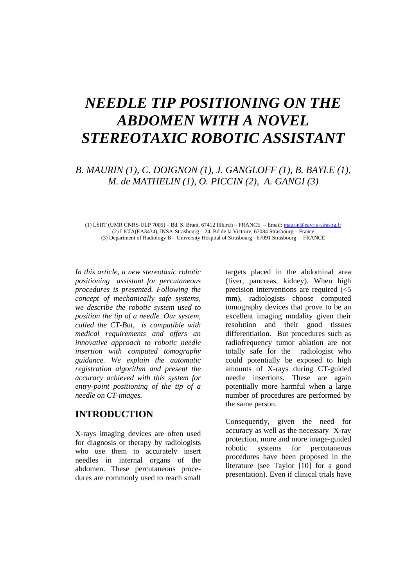# *NEEDLE TIP POSITIONING ON THE ABDOMEN WITH A NOVEL STEREOTAXIC ROBOTIC ASSISTANT*

# *B. MAURIN (1), C. DOIGNON (1), J. GANGLOFF (1), B. BAYLE (1), M. de MATHELIN (1), O. PICCIN (2), A. GANGI (3)*

(1) LSIIT (UMR CNRS-ULP 7005) – Bd. S. Brant, 67412 Illkirch – FRANCE – Email: maurin@eavr.u-strasbg.fr (2) LICIA(EA3434), INSA-Strasbourg – 24, Bd de la Victoire, 67084 Strasbourg – France (3) Department of Radiology B – University Hospital of Strasbourg - 67091 Strasbourg – FRANCE

*In this article, a new stereotaxic robotic positioning assistant for percutaneous procedures is presented. Following the concept of mechanically safe systems, we describe the robotic system used to position the tip of a needle. Our system, called the CT-Bot, is compatible with medical requirements and offers an innovative approach to robotic needle insertion with computed tomography guidance. We explain the automatic registration algorithm and present the accuracy achieved with this system for entry-point positioning of the tip of a needle on CT-images.*

### **INTRODUCTION**

X-rays imaging devices are often used for diagnosis or therapy by radiologists who use them to accurately insert needles in internal organs of the abdomen. These percutaneous procedures are commonly used to reach small targets placed in the abdominal area (liver, pancreas, kidney). When high precision interventions are required (<5 mm), radiologists choose computed tomography devices that prove to be an excellent imaging modality given their resolution and their good tissues differentiation. But procedures such as radiofrequency tumor ablation are not totally safe for the radiologist who could potentially be exposed to high amounts of X-rays during CT-guided needle insertions. These are again potentially more harmful when a large number of procedures are performed by the same person.

Consequently, given the need for accuracy as well as the necessary X-ray protection, more and more image-guided robotic systems for percutaneous procedures have been proposed in the literature (see Taylor [10] for a good presentation). Even if clinical trials have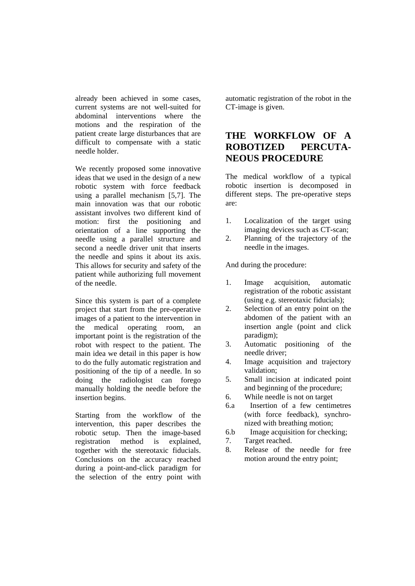already been achieved in some cases, current systems are not well-suited for abdominal interventions where the motions and the respiration of the patient create large disturbances that are difficult to compensate with a static needle holder.

We recently proposed some innovative ideas that we used in the design of a new robotic system with force feedback using a parallel mechanism [5,7]. The main innovation was that our robotic assistant involves two different kind of motion: first the positioning and orientation of a line supporting the needle using a parallel structure and second a needle driver unit that inserts the needle and spins it about its axis. This allows for security and safety of the patient while authorizing full movement of the needle.

Since this system is part of a complete project that start from the pre-operative images of a patient to the intervention in the medical operating room, an important point is the registration of the robot with respect to the patient. The main idea we detail in this paper is how to do the fully automatic registration and positioning of the tip of a needle. In so doing the radiologist can forego manually holding the needle before the insertion begins.

Starting from the workflow of the intervention, this paper describes the robotic setup. Then the image-based registration method is explained, together with the stereotaxic fiducials. Conclusions on the accuracy reached during a point-and-click paradigm for the selection of the entry point with

automatic registration of the robot in the CT-image is given.

# **THE WORKFLOW OF A ROBOTIZED PERCUTA-NEOUS PROCEDURE**

The medical workflow of a typical robotic insertion is decomposed in different steps. The pre-operative steps are:

- 1. Localization of the target using imaging devices such as CT-scan;
- 2. Planning of the trajectory of the needle in the images.

And during the procedure:

- 1. Image acquisition, automatic registration of the robotic assistant (using e.g. stereotaxic fiducials);
- 2. Selection of an entry point on the abdomen of the patient with an insertion angle (point and click paradigm);
- 3. Automatic positioning of the needle driver;
- 4. Image acquisition and trajectory validation;
- 5. Small incision at indicated point and beginning of the procedure;
- 6. While needle is not on target
- 6.a Insertion of a few centimetres (with force feedback), synchronized with breathing motion;
- 6.b Image acquisition for checking;
- 7. Target reached.
- 8. Release of the needle for free motion around the entry point;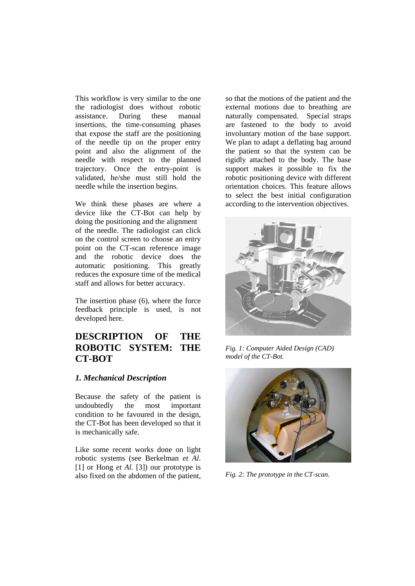This workflow is very similar to the one the radiologist does without robotic assistance. During these manual insertions, the time-consuming phases that expose the staff are the positioning of the needle tip on the proper entry point and also the alignment of the needle with respect to the planned trajectory. Once the entry-point is validated, he/she must still hold the needle while the insertion begins.

We think these phases are where a device like the CT-Bot can help by doing the positioning and the alignment of the needle. The radiologist can click on the control screen to choose an entry point on the CT-scan reference image and the robotic device does the automatic positioning. This greatly reduces the exposure time of the medical staff and allows for better accuracy.

The insertion phase (6), where the force feedback principle is used, is not developed here.

# **DESCRIPTION OF THE ROBOTIC SYSTEM: THE CT-BOT**

### *1. Mechanical Description*

Because the safety of the patient is undoubtedly the most important condition to be favoured in the design, the CT-Bot has been developed so that it is mechanically safe.

Like some recent works done on light robotic systems (see Berkelman *et Al*. [1] or Hong *et Al.* [3]) our prototype is also fixed on the abdomen of the patient, so that the motions of the patient and the external motions due to breathing are naturally compensated. Special straps are fastened to the body to avoid involuntary motion of the base support. We plan to adapt a deflating bag around the patient so that the system can be rigidly attached to the body. The base support makes it possible to fix the robotic positioning device with different orientation choices. This feature allows to select the best initial configuration according to the intervention objectives.



*Fig. 1: Computer Aided Design (CAD) model of the CT-Bot.* 



*Fig. 2: The prototype in the CT-scan.*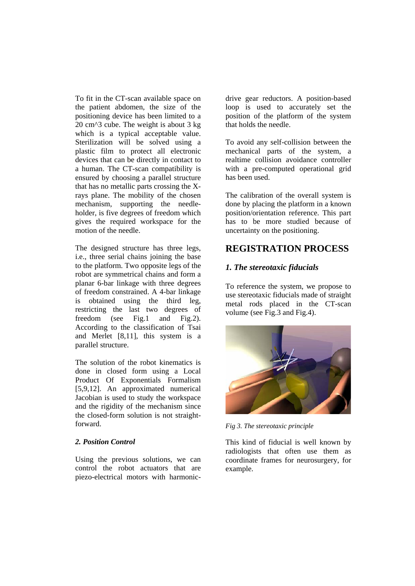To fit in the CT-scan available space on the patient abdomen, the size of the positioning device has been limited to a 20 cm^3 cube. The weight is about 3 kg which is a typical acceptable value. Sterilization will be solved using a plastic film to protect all electronic devices that can be directly in contact to a human. The CT-scan compatibility is ensured by choosing a parallel structure that has no metallic parts crossing the Xrays plane. The mobility of the chosen mechanism, supporting the needleholder, is five degrees of freedom which gives the required workspace for the motion of the needle.

The designed structure has three legs, i.e., three serial chains joining the base to the platform. Two opposite legs of the robot are symmetrical chains and form a planar 6-bar linkage with three degrees of freedom constrained. A 4-bar linkage is obtained using the third leg, restricting the last two degrees of freedom (see Fig.1 and Fig.2). According to the classification of Tsai and Merlet [8,11], this system is a parallel structure.

The solution of the robot kinematics is done in closed form using a Local Product Of Exponentials Formalism [5,9,12]. An approximated numerical Jacobian is used to study the workspace and the rigidity of the mechanism since the closed-form solution is not straightforward.

### *2. Position Control*

Using the previous solutions, we can control the robot actuators that are piezo-electrical motors with harmonicdrive gear reductors. A position-based loop is used to accurately set the position of the platform of the system that holds the needle.

To avoid any self-collision between the mechanical parts of the system, a realtime collision avoidance controller with a pre-computed operational grid has been used.

The calibration of the overall system is done by placing the platform in a known position/orientation reference. This part has to be more studied because of uncertainty on the positioning.

### **REGISTRATION PROCESS**

### *1. The stereotaxic fiducials*

To reference the system, we propose to use stereotaxic fiducials made of straight metal rods placed in the CT-scan volume (see Fig.3 and Fig.4).



*Fig 3. The stereotaxic principle* 

This kind of fiducial is well known by radiologists that often use them as coordinate frames for neurosurgery, for example.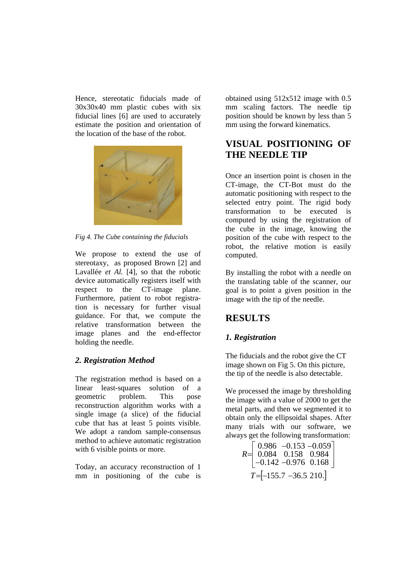Hence, stereotatic fiducials made of 30x30x40 mm plastic cubes with six fiducial lines [6] are used to accurately estimate the position and orientation of the location of the base of the robot.



*Fig 4. The Cube containing the fiducials* 

We propose to extend the use of stereotaxy, as proposed Brown [2] and Lavallée *et Al.* [4], so that the robotic device automatically registers itself with respect to the CT-image plane. Furthermore, patient to robot registration is necessary for further visual guidance. For that, we compute the relative transformation between the image planes and the end-effector holding the needle.

### *2. Registration Method*

The registration method is based on a linear least-squares solution of a geometric problem. This pose reconstruction algorithm works with a single image (a slice) of the fiducial cube that has at least 5 points visible. We adopt a random sample-consensus method to achieve automatic registration with 6 visible points or more.

Today, an accuracy reconstruction of 1 mm in positioning of the cube is obtained using 512x512 image with 0.5 mm scaling factors. The needle tip position should be known by less than 5 mm using the forward kinematics.

# **VISUAL POSITIONING OF THE NEEDLE TIP**

Once an insertion point is chosen in the CT-image, the CT-Bot must do the automatic positioning with respect to the selected entry point. The rigid body transformation to be executed is computed by using the registration of the cube in the image, knowing the position of the cube with respect to the robot, the relative motion is easily computed.

By installing the robot with a needle on the translating table of the scanner, our goal is to point a given position in the image with the tip of the needle.

# **RESULTS**

### *1. Registration*

The fiducials and the robot give the CT image shown on Fig 5. On this picture, the tip of the needle is also detectable.

We processed the image by thresholding the image with a value of 2000 to get the metal parts, and then we segmented it to obtain only the ellipsoidal shapes. After many trials with our software, we always get the following transformation:

$$
R = \begin{bmatrix} 0.986 & -0.153 & -0.059 \\ 0.084 & 0.158 & 0.984 \\ -0.142 & -0.976 & 0.168 \end{bmatrix}
$$
  
T = [-155.7 -36.5 210.]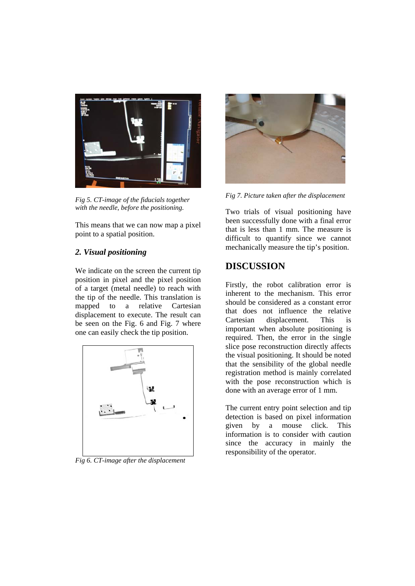

*Fig 5. CT-image of the fiducials together with the needle, before the positioning.* 

This means that we can now map a pixel point to a spatial position.

### *2. Visual positioning*

We indicate on the screen the current tip position in pixel and the pixel position of a target (metal needle) to reach with the tip of the needle. This translation is mapped to a relative Cartesian displacement to execute. The result can be seen on the Fig. 6 and Fig. 7 where one can easily check the tip position.



*Fig 6. CT-image after the displacement* 



*Fig 7. Picture taken after the displacement* 

Two trials of visual positioning have been successfully done with a final error that is less than 1 mm. The measure is difficult to quantify since we cannot mechanically measure the tip's position.

# **DISCUSSION**

Firstly, the robot calibration error is inherent to the mechanism. This error should be considered as a constant error that does not influence the relative Cartesian displacement. This is important when absolute positioning is required. Then, the error in the single slice pose reconstruction directly affects the visual positioning. It should be noted that the sensibility of the global needle registration method is mainly correlated with the pose reconstruction which is done with an average error of 1 mm.

The current entry point selection and tip detection is based on pixel information given by a mouse click. This information is to consider with caution since the accuracy in mainly the responsibility of the operator.